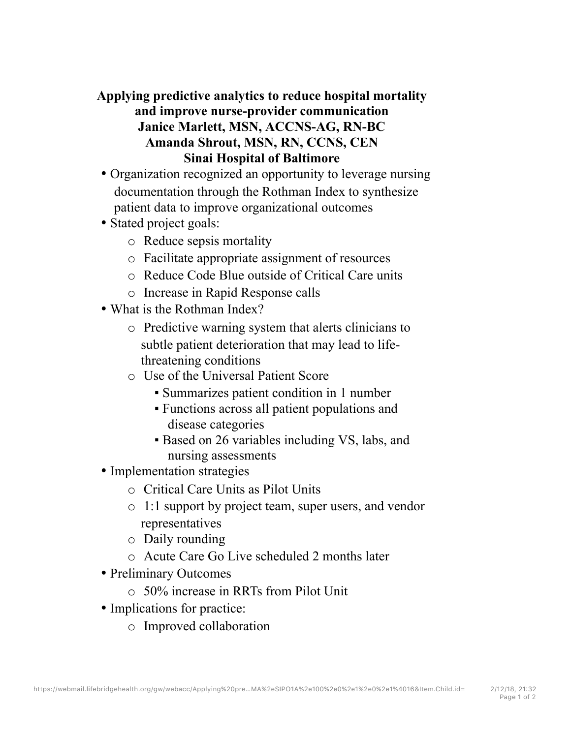## **Applying predictive analytics to reduce hospital mortality and improve nurse-provider communication Janice Marlett, MSN, ACCNS-AG, RN-BC Amanda Shrout, MSN, RN, CCNS, CEN Sinai Hospital of Baltimore**

- Organization recognized an opportunity to leverage nursing documentation through the Rothman Index to synthesize patient data to improve organizational outcomes
- Stated project goals:
	- o Reduce sepsis mortality
	- o Facilitate appropriate assignment of resources
	- o Reduce Code Blue outside of Critical Care units
	- o Increase in Rapid Response calls
- What is the Rothman Index?
	- o Predictive warning system that alerts clinicians to subtle patient deterioration that may lead to lifethreatening conditions
	- o Use of the Universal Patient Score
		- Summarizes patient condition in 1 number
		- Functions across all patient populations and disease categories
		- Based on 26 variables including VS, labs, and nursing assessments
- Implementation strategies
	- o Critical Care Units as Pilot Units
	- o 1:1 support by project team, super users, and vendor representatives
	- o Daily rounding
	- o Acute Care Go Live scheduled 2 months later
- Preliminary Outcomes
	- o 50% increase in RRTs from Pilot Unit
- Implications for practice:
	- o Improved collaboration